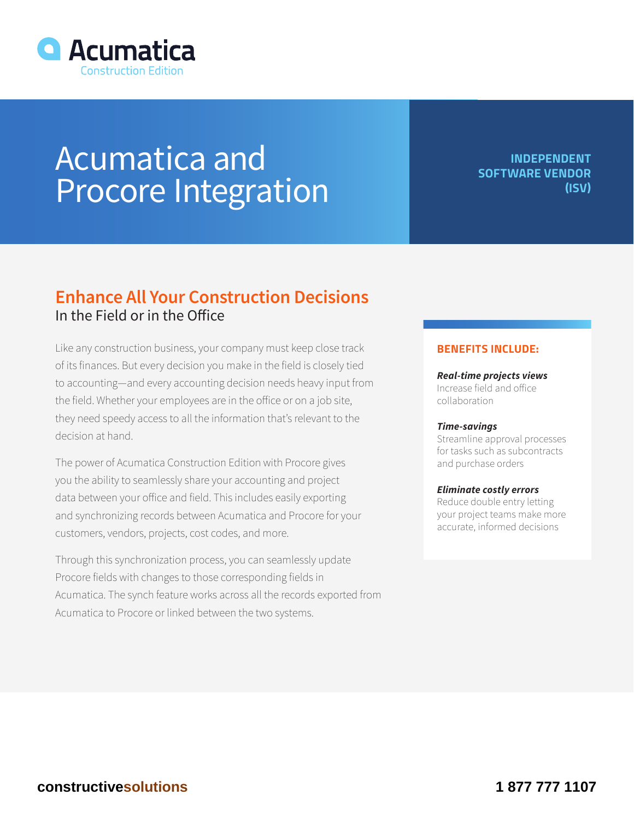

# Acumatica and Procore Integration

**INDEPENDENT SOFTWARE VENDOR (ISV)**

# **Enhance All Your Construction Decisions** In the Field or in the Office

Like any construction business, your company must keep close track of its finances. But every decision you make in the field is closely tied to accounting—and every accounting decision needs heavy input from the field. Whether your employees are in the office or on a job site, they need speedy access to all the information that's relevant to the decision at hand.

The power of Acumatica Construction Edition with Procore gives you the ability to seamlessly share your accounting and project data between your office and field. This includes easily exporting and synchronizing records between Acumatica and Procore for your customers, vendors, projects, cost codes, and more.

Through this synchronization process, you can seamlessly update Procore fields with changes to those corresponding fields in Acumatica. The synch feature works across all the records exported from Acumatica to Procore or linked between the two systems.

## **BENEFITS INCLUDE:**

*Real-time projects views* Increase field and office collaboration

#### *Time-savings*

Streamline approval processes for tasks such as subcontracts and purchase orders

### *Eliminate costly errors*

Reduce double entry letting your project teams make more accurate, informed decisions